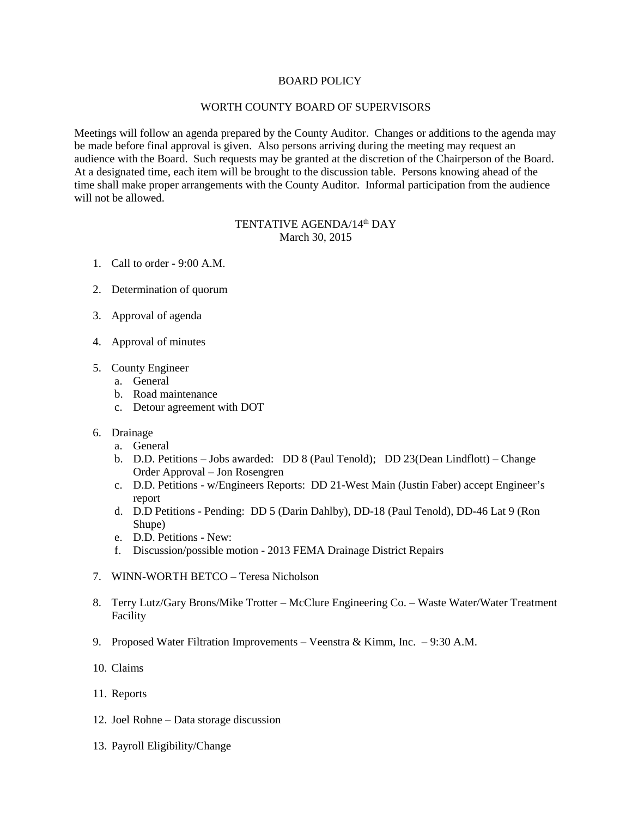## BOARD POLICY

## WORTH COUNTY BOARD OF SUPERVISORS

Meetings will follow an agenda prepared by the County Auditor. Changes or additions to the agenda may be made before final approval is given. Also persons arriving during the meeting may request an audience with the Board. Such requests may be granted at the discretion of the Chairperson of the Board. At a designated time, each item will be brought to the discussion table. Persons knowing ahead of the time shall make proper arrangements with the County Auditor. Informal participation from the audience will not be allowed.

## TENTATIVE AGENDA/14th DAY March 30, 2015

- 1. Call to order 9:00 A.M.
- 2. Determination of quorum
- 3. Approval of agenda
- 4. Approval of minutes
- 5. County Engineer
	- a. General
	- b. Road maintenance
	- c. Detour agreement with DOT
- 6. Drainage
	- a. General
	- b. D.D. Petitions Jobs awarded: DD 8 (Paul Tenold); DD 23(Dean Lindflott) Change Order Approval – Jon Rosengren
	- c. D.D. Petitions w/Engineers Reports: DD 21-West Main (Justin Faber) accept Engineer's report
	- d. D.D Petitions Pending: DD 5 (Darin Dahlby), DD-18 (Paul Tenold), DD-46 Lat 9 (Ron Shupe)
	- e. D.D. Petitions New:
	- f. Discussion/possible motion 2013 FEMA Drainage District Repairs
- 7. WINN-WORTH BETCO Teresa Nicholson
- 8. Terry Lutz/Gary Brons/Mike Trotter McClure Engineering Co. Waste Water/Water Treatment Facility
- 9. Proposed Water Filtration Improvements Veenstra & Kimm, Inc. 9:30 A.M.
- 10. Claims
- 11. Reports
- 12. Joel Rohne Data storage discussion
- 13. Payroll Eligibility/Change